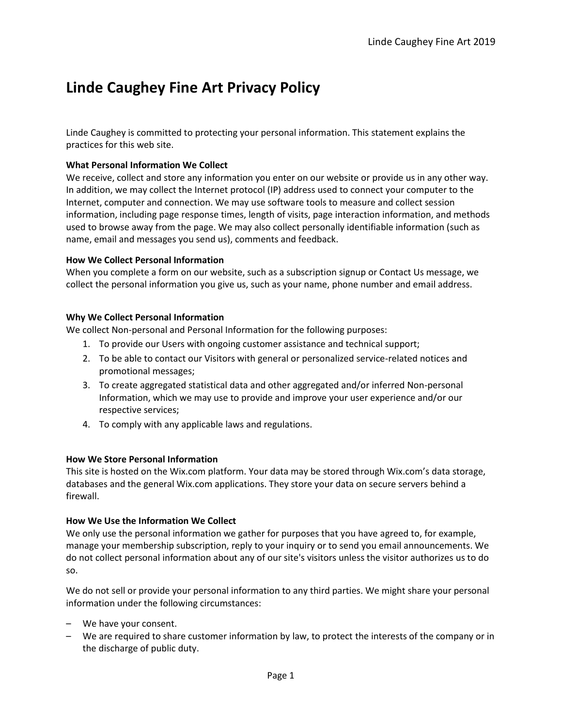# **Linde Caughey Fine Art Privacy Policy**

Linde Caughey is committed to protecting your personal information. This statement explains the practices for this web site.

#### **What Personal Information We Collect**

We receive, collect and store any information you enter on our website or provide us in any other way. In addition, we may collect the Internet protocol (IP) address used to connect your computer to the Internet, computer and connection. We may use software tools to measure and collect session information, including page response times, length of visits, page interaction information, and methods used to browse away from the page. We may also collect personally identifiable information (such as name, email and messages you send us), comments and feedback.

#### **How We Collect Personal Information**

When you complete a form on our website, such as a subscription signup or Contact Us message, we collect the personal information you give us, such as your name, phone number and email address.

#### **Why We Collect Personal Information**

We collect Non-personal and Personal Information for the following purposes:

- 1. To provide our Users with ongoing customer assistance and technical support;
- 2. To be able to contact our Visitors with general or personalized service-related notices and promotional messages;
- 3. To create aggregated statistical data and other aggregated and/or inferred Non-personal Information, which we may use to provide and improve your user experience and/or our respective services;
- 4. To comply with any applicable laws and regulations.

#### **How We Store Personal Information**

This site is hosted on the Wix.com platform. Your data may be stored through Wix.com's data storage, databases and the general Wix.com applications. They store your data on secure servers behind a firewall.

#### **How We Use the Information We Collect**

We only use the personal information we gather for purposes that you have agreed to, for example, manage your membership subscription, reply to your inquiry or to send you email announcements. We do not collect personal information about any of our site's visitors unless the visitor authorizes us to do so.

We do not sell or provide your personal information to any third parties. We might share your personal information under the following circumstances:

- We have your consent.
- We are required to share customer information by law, to protect the interests of the company or in the discharge of public duty.